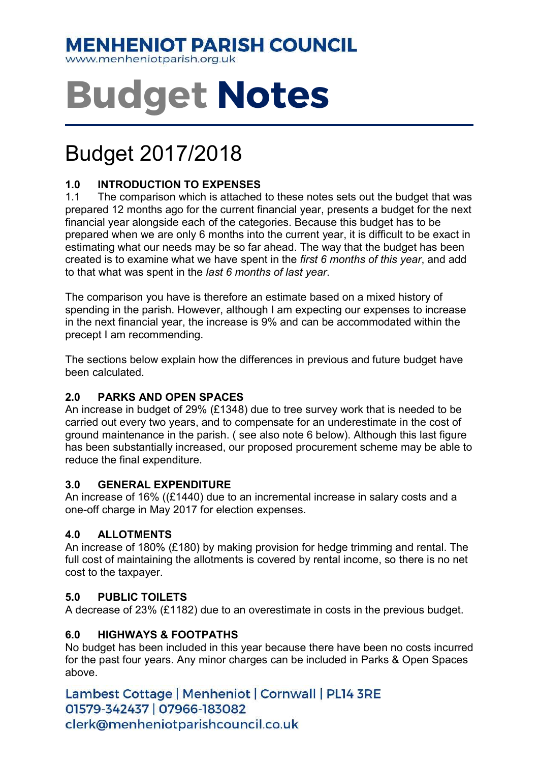## **MENHENIOT PARISH COUNCIL**

www.menheniotparish.org.uk

# Budget Notes

# Budget 2017/2018

#### 1.0 INTRODUCTION TO EXPENSES

1.1 The comparison which is attached to these notes sets out the budget that was prepared 12 months ago for the current financial year, presents a budget for the next financial year alongside each of the categories. Because this budget has to be prepared when we are only 6 months into the current year, it is difficult to be exact in estimating what our needs may be so far ahead. The way that the budget has been created is to examine what we have spent in the first 6 months of this year, and add to that what was spent in the last 6 months of last year.

The comparison you have is therefore an estimate based on a mixed history of spending in the parish. However, although I am expecting our expenses to increase in the next financial year, the increase is 9% and can be accommodated within the precept I am recommending.

The sections below explain how the differences in previous and future budget have been calculated.

#### 2.0 PARKS AND OPEN SPACES

An increase in budget of 29% (£1348) due to tree survey work that is needed to be carried out every two years, and to compensate for an underestimate in the cost of ground maintenance in the parish. ( see also note 6 below). Although this last figure has been substantially increased, our proposed procurement scheme may be able to reduce the final expenditure.

#### 3.0 GENERAL EXPENDITURE

An increase of 16% ((£1440) due to an incremental increase in salary costs and a one-off charge in May 2017 for election expenses.

#### 4.0 ALLOTMENTS

An increase of 180% (£180) by making provision for hedge trimming and rental. The full cost of maintaining the allotments is covered by rental income, so there is no net cost to the taxpayer.

#### 5.0 PUBLIC TOILETS

A decrease of 23% (£1182) due to an overestimate in costs in the previous budget.

#### 6.0 HIGHWAYS & FOOTPATHS

No budget has been included in this year because there have been no costs incurred for the past four years. Any minor charges can be included in Parks & Open Spaces above.

Lambest Cottage | Menheniot | Cornwall | PL14 3RE 01579-342437 | 07966-183082 clerk@menheniotparishcouncil.co.uk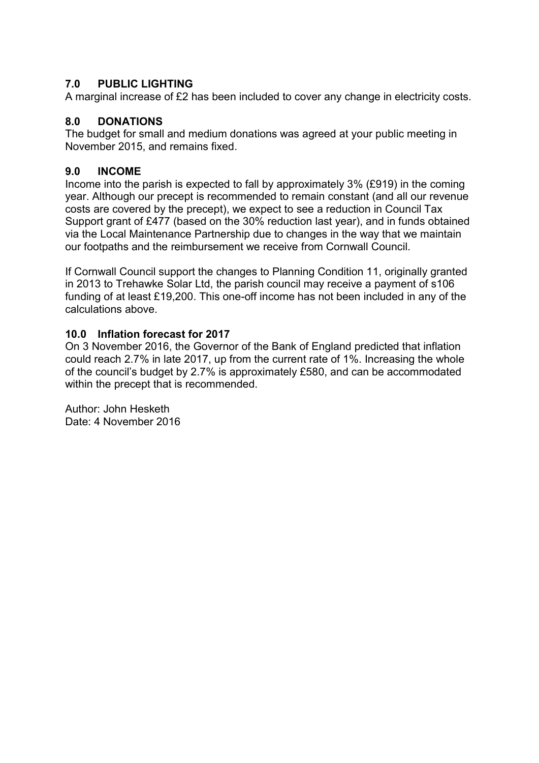#### 7.0 PUBLIC LIGHTING

A marginal increase of £2 has been included to cover any change in electricity costs.

#### 8.0 DONATIONS

The budget for small and medium donations was agreed at your public meeting in November 2015, and remains fixed.

#### 9.0 INCOME

Income into the parish is expected to fall by approximately 3% (£919) in the coming year. Although our precept is recommended to remain constant (and all our revenue costs are covered by the precept), we expect to see a reduction in Council Tax Support grant of £477 (based on the 30% reduction last year), and in funds obtained via the Local Maintenance Partnership due to changes in the way that we maintain our footpaths and the reimbursement we receive from Cornwall Council.

If Cornwall Council support the changes to Planning Condition 11, originally granted in 2013 to Trehawke Solar Ltd, the parish council may receive a payment of s106 funding of at least £19,200. This one-off income has not been included in any of the calculations above.

#### 10.0 Inflation forecast for 2017

On 3 November 2016, the Governor of the Bank of England predicted that inflation could reach 2.7% in late 2017, up from the current rate of 1%. Increasing the whole of the council's budget by 2.7% is approximately £580, and can be accommodated within the precept that is recommended.

Author: John Hesketh Date: 4 November 2016